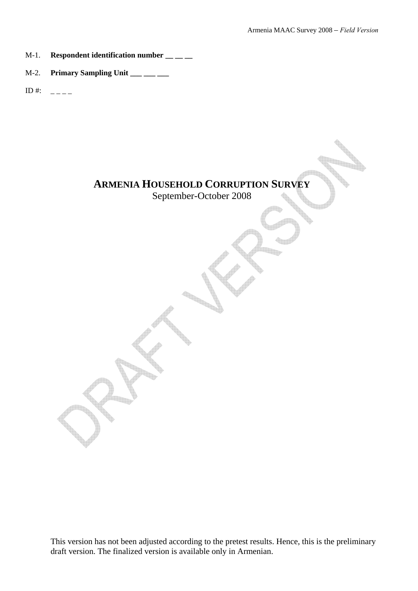- M-1. **Respondent identification number \_\_ \_ \_**
- M-2. **Primary Sampling Unit \_\_\_ \_\_\_ \_\_\_**
- ID #:  $_{---}$

# **ARMENIA HOUSEHOLD CORRUPTION SURVEY**

September-October 2008

This version has not been adjusted according to the pretest results. Hence, this is the preliminary draft version. The finalized version is available only in Armenian.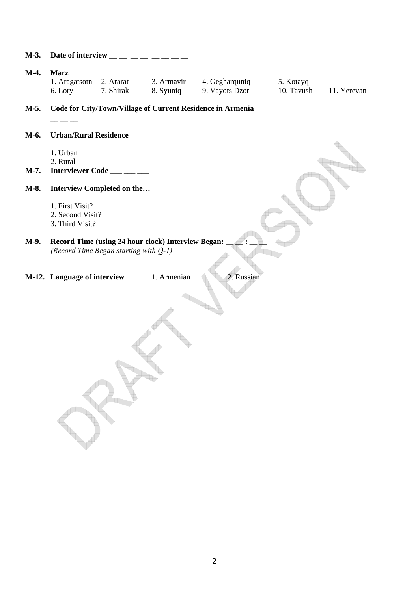| M-3. | Date of interview $\frac{1}{1}$ $\frac{1}{1}$ $\frac{1}{1}$ $\frac{1}{1}$ $\frac{1}{1}$ $\frac{1}{1}$ $\frac{1}{1}$ |                                       |                                                    |                                                            |                         |             |
|------|---------------------------------------------------------------------------------------------------------------------|---------------------------------------|----------------------------------------------------|------------------------------------------------------------|-------------------------|-------------|
| M-4. | <b>Marz</b><br>1. Aragatsotn 2. Ararat<br>6. Lory                                                                   | 7. Shirak                             | 3. Armavir<br>8. Syuniq                            | 4. Gegharquniq<br>9. Vayots Dzor                           | 5. Kotayq<br>10. Tavush | 11. Yerevan |
| M-5. |                                                                                                                     |                                       |                                                    | Code for City/Town/Village of Current Residence in Armenia |                         |             |
| M-6. | <b>Urban/Rural Residence</b>                                                                                        |                                       |                                                    |                                                            |                         |             |
| M-7. | 1. Urban<br>2. Rural                                                                                                | Interviewer Code ___ __ __            |                                                    |                                                            |                         |             |
|      |                                                                                                                     |                                       |                                                    |                                                            |                         |             |
| M-8. |                                                                                                                     | Interview Completed on the            |                                                    |                                                            |                         |             |
|      | 1. First Visit?                                                                                                     |                                       |                                                    |                                                            |                         |             |
|      | 2. Second Visit?<br>3. Third Visit?                                                                                 |                                       |                                                    |                                                            |                         |             |
|      |                                                                                                                     |                                       |                                                    |                                                            |                         |             |
| M-9. |                                                                                                                     | (Record Time Began starting with Q-1) | Record Time (using 24 hour clock) Interview Began: |                                                            |                         |             |
|      | M-12. Language of interview                                                                                         |                                       | 1. Armenian                                        | 2. Russian                                                 |                         |             |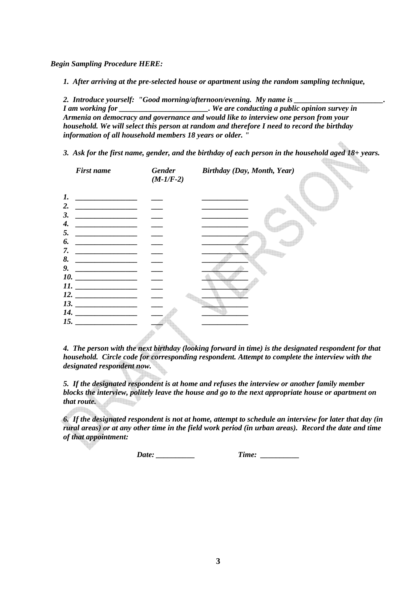*Begin Sampling Procedure HERE:* 

*1. After arriving at the pre-selected house or apartment using the random sampling technique,* 

2. Introduce yourself: "Good morning/afternoon/evening. My name is \_\_\_\_\_\_\_\_\_\_\_\_\_\_ *I am working for \_\_\_\_\_\_\_\_\_\_\_\_\_\_\_\_\_\_\_\_\_. We are conducting a public opinion survey in Armenia on democracy and governance and would like to interview one person from your household. We will select this person at random and therefore I need to record the birthday information of all household members 18 years or older. "* 

*3. Ask for the first name, gender, and the birthday of each person in the household aged 18+ years.* 



*4. The person with the next birthday (looking forward in time) is the designated respondent for that household. Circle code for corresponding respondent. Attempt to complete the interview with the designated respondent now.* 

*5. If the designated respondent is at home and refuses the interview or another family member blocks the interview, politely leave the house and go to the next appropriate house or apartment on that route.* 

*6. If the designated respondent is not at home, attempt to schedule an interview for later that day (in rural areas) or at any other time in the field work period (in urban areas). Record the date and time of that appointment:* 

*Date:* Time: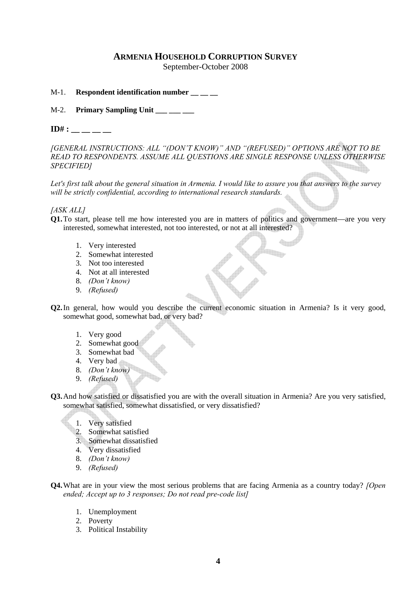# **ARMENIA HOUSEHOLD CORRUPTION SURVEY**

September-October 2008

M-1. **Respondent identification number** 

M-2. **Primary Sampling Unit \_\_\_ \_\_\_ \_\_\_** 

**ID#** :

*[GENERAL INSTRUCTIONS: ALL "(DON'T KNOW)" AND "(REFUSED)" OPTIONS ARE NOT TO BE READ TO RESPONDENTS. ASSUME ALL QUESTIONS ARE SINGLE RESPONSE UNLESS OTHERWISE SPECIFIED]* 

*Let's first talk about the general situation in Armenia. I would like to assure you that answers to the survey will be strictly confidential, according to international research standards.* 

*[ASK ALL]* 

**Q1.**To start, please tell me how interested you are in matters of politics and government—are you very interested, somewhat interested, not too interested, or not at all interested?

- 1. Very interested
- 2. Somewhat interested
- 3. Not too interested
- 4. Not at all interested
- 8. *(Don't know)*
- 9. *(Refused)*
- **Q2.**In general, how would you describe the current economic situation in Armenia? Is it very good, somewhat good, somewhat bad, or very bad?
	- 1. Very good
	- 2. Somewhat good
	- 3. Somewhat bad
	- 4. Very bad
	- 8. *(Don't know)*
	- 9. *(Refused)*
- **Q3.**And how satisfied or dissatisfied you are with the overall situation in Armenia? Are you very satisfied, somewhat satisfied, somewhat dissatisfied, or very dissatisfied?
	- 1. Very satisfied
	- 2. Somewhat satisfied
	- 3. Somewhat dissatisfied
	- 4. Very dissatisfied
	- 8. *(Don't know)*
	- 9. *(Refused)*
- **Q4.**What are in your view the most serious problems that are facing Armenia as a country today? *[Open ended; Accept up to 3 responses; Do not read pre-code list]* 
	- 1. Unemployment
	- 2. Poverty
	- 3. Political Instability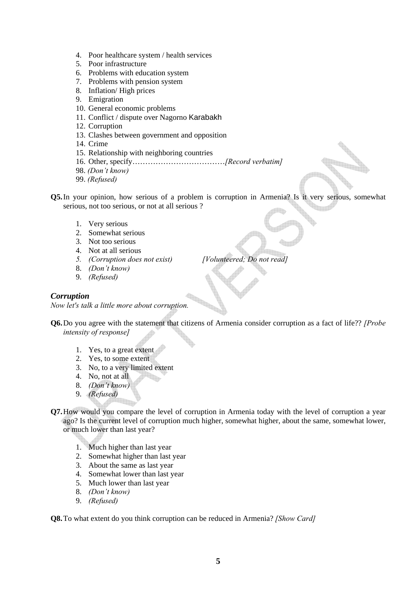- 4. Poor healthcare system / health services
- 5. Poor infrastructure
- 6. Problems with education system
- 7. Problems with pension system
- 8. Inflation/ High prices
- 9. Emigration
- 10. General economic problems
- 11. Conflict / dispute over Nagorno Karabakh
- 12. Corruption
- 13. Clashes between government and opposition
- 14. Crime
- 15. Relationship with neighboring countries
- 16. Other, specify………………………………*[Record verbatim]*
- 98. *(Don't know)*
- 99. *(Refused)*

**Q5.**In your opinion, how serious of a problem is corruption in Armenia? Is it very serious, somewhat serious, not too serious, or not at all serious ?

- 1. Very serious
- 2. Somewhat serious
- 3. Not too serious
- 4. Not at all serious
- *5. (Corruption does not exist) [Volunteered; Do not read]*
- 8. *(Don't know)*
- 9. *(Refused)*

#### *Corruption*

*Now let's talk a little more about corruption.* 

**Q6.**Do you agree with the statement that citizens of Armenia consider corruption as a fact of life?? *[Probe intensity of response]*

- 1. Yes, to a great extent
- 2. Yes, to some extent
- 3. No, to a very limited extent
- 4. No, not at all
- 8. *(Don't know)*
- 9. *(Refused)*
- **Q7.**How would you compare the level of corruption in Armenia today with the level of corruption a year ago? Is the current level of corruption much higher, somewhat higher, about the same, somewhat lower, or much lower than last year?
	- 1. Much higher than last year
	- 2. Somewhat higher than last year
	- 3. About the same as last year
	- 4. Somewhat lower than last year
	- 5. Much lower than last year
	- 8. *(Don't know)*
	- 9. *(Refused)*

**Q8.**To what extent do you think corruption can be reduced in Armenia? *[Show Card]*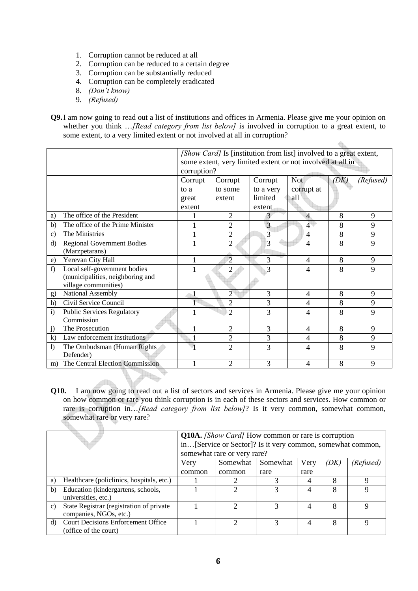- 1. Corruption cannot be reduced at all
- 2. Corruption can be reduced to a certain degree
- 3. Corruption can be substantially reduced
- 4. Corruption can be completely eradicated
- 8. *(Don't know)*
- 9. *(Refused)*

h.

**Q9.**I am now going to read out a list of institutions and offices in Armenia. Please give me your opinion on whether you think …*[Read category from list below]* is involved in corruption to a great extent, to some extent, to a very limited extent or not involved at all in corruption?

 $\bigoplus_{i=1}^n$ 

|                  |                                   | [Show Card] Is [institution from list] involved to a great extent, |                |                |                          |      |           |  |
|------------------|-----------------------------------|--------------------------------------------------------------------|----------------|----------------|--------------------------|------|-----------|--|
|                  |                                   | some extent, very limited extent or not involved at all in         |                |                |                          |      |           |  |
|                  |                                   | corruption?                                                        |                |                |                          |      |           |  |
|                  |                                   | Corrupt                                                            | Corrupt        | Corrupt        | <b>Not</b>               | (DK) | (Refused) |  |
|                  |                                   | to a                                                               | to some        | to a very      | corrupt at               |      |           |  |
|                  |                                   | great                                                              | extent         | limited        | all                      |      |           |  |
|                  |                                   | extent                                                             |                | extent         |                          |      |           |  |
| a)               | The office of the President       |                                                                    | $\overline{2}$ | 3              | $\overline{4}$           | 8    | 9         |  |
| b)               | The office of the Prime Minister  |                                                                    | $\overline{2}$ | $\overline{3}$ | 4 <sup>1</sup>           | 8    | 9         |  |
| $\mathbf{c}$ )   | The Ministries                    | $\mathbf{1}$                                                       | $\overline{2}$ | 3              | 4                        | 8    | 9         |  |
| d)               | <b>Regional Government Bodies</b> | $\mathbf{1}$                                                       | $\overline{2}$ | 3              | 4                        | 8    | 9         |  |
|                  | (Marzpetarans)                    |                                                                    |                |                |                          |      |           |  |
| e)               | Yerevan City Hall                 |                                                                    | $\overline{2}$ | 3              | $\overline{\mathcal{A}}$ | 8    | 9         |  |
| f)               | Local self-government bodies      |                                                                    | 2              | 3              | 4                        | 8    | 9         |  |
|                  | (municipalities, neighboring and  |                                                                    |                |                |                          |      |           |  |
|                  | village communities)              |                                                                    |                |                |                          |      |           |  |
| g)               | National Assembly                 |                                                                    | $\overline{2}$ | 3              | 4                        | 8    | 9         |  |
| h)               | Civil Service Council             |                                                                    | $\overline{2}$ | 3              | 4                        | 8    | 9         |  |
| $\mathbf{i}$     | <b>Public Services Regulatory</b> |                                                                    | $\mathfrak{D}$ | $\overline{3}$ | 4                        | 8    | 9         |  |
|                  | Commission                        |                                                                    |                |                |                          |      |           |  |
| j)               | The Prosecution                   |                                                                    | 2              | 3              | 4                        | 8    | 9         |  |
| $\bf k$ )        | Law enforcement institutions      |                                                                    | $\overline{c}$ | 3              | 4                        | 8    | 9         |  |
| $\left( \right)$ | The Ombudsman (Human Rights       |                                                                    | $\overline{2}$ | $\overline{3}$ | 4                        | 8    | 9         |  |
|                  | Defender)                         |                                                                    |                |                |                          |      |           |  |
| m)               | The Central Election Commission   |                                                                    | $\overline{2}$ | 3              | 4                        | 8    | 9         |  |
|                  |                                   |                                                                    |                |                |                          |      |           |  |

**Q10.** I am now going to read out a list of sectors and services in Armenia. Please give me your opinion on how common or rare you think corruption is in each of these sectors and services. How common or rare is corruption in…*[Read category from list below]*? Is it very common, somewhat common, somewhat rare or very rare?

|              |                                                                     | <b>Q10A.</b> [Show Card] How common or rare is corruption<br>in[Service or Sector]? Is it very common, somewhat common,<br>somewhat rare or very rare? |        |      |      |           |   |
|--------------|---------------------------------------------------------------------|--------------------------------------------------------------------------------------------------------------------------------------------------------|--------|------|------|-----------|---|
|              |                                                                     | Very<br>Somewhat<br>Very<br>Somewhat<br>(DK)                                                                                                           |        |      |      | (Refused) |   |
|              |                                                                     | common                                                                                                                                                 | common | rare | rare |           |   |
| a)           | Healthcare (policlinics, hospitals, etc.)                           |                                                                                                                                                        |        |      | 4    | 8         | Q |
| b)           | Education (kindergartens, schools,<br>universities, etc.)           |                                                                                                                                                        |        |      | 4    | 8         |   |
| $\mathbf{c}$ | State Registrar (registration of private)<br>companies, NGOs, etc.) |                                                                                                                                                        |        | 3    |      | 8         | Ω |
| d)           | <b>Court Decisions Enforcement Office</b><br>(office of the court)  |                                                                                                                                                        |        | 3    | 4    | 8         | Q |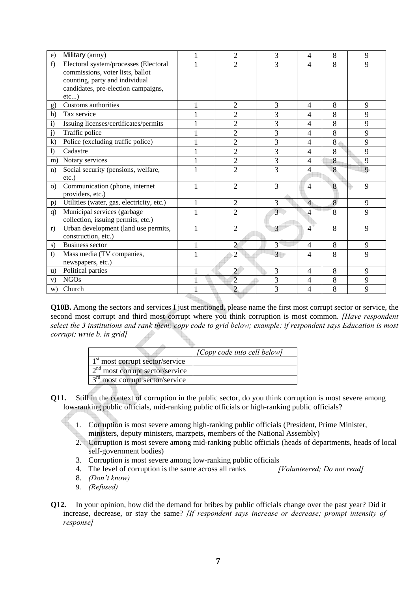| e)             | Military (army)                           | 1            | $\overline{2}$ | 3              | $\overline{4}$ | 8 | 9 |
|----------------|-------------------------------------------|--------------|----------------|----------------|----------------|---|---|
| f              | Electoral system/processes (Electoral     |              | $\overline{2}$ | 3              | $\overline{4}$ | 8 | 9 |
|                | commissions, voter lists, ballot          |              |                |                |                |   |   |
|                | counting, party and individual            |              |                |                |                |   |   |
|                | candidates, pre-election campaigns,       |              |                |                |                |   |   |
|                | etc)                                      |              |                |                |                |   |   |
| $\mathbf{g}$   | Customs authorities                       |              | $\overline{2}$ | 3              | $\overline{4}$ | 8 | 9 |
| h)             | Tax service                               |              | $\overline{2}$ | 3              | $\overline{4}$ | 8 | 9 |
| i)             | Issuing licenses/certificates/permits     |              | $\overline{2}$ | 3              | $\overline{4}$ | 8 | 9 |
| j)             | Traffic police                            |              | $\overline{2}$ | 3              | $\overline{4}$ | 8 | 9 |
| $\mathbf{k}$   | Police (excluding traffic police)         |              | $\overline{2}$ | 3              | $\overline{4}$ | 8 | 9 |
| $\mathbf{I}$   | Cadastre                                  |              | $\overline{2}$ | $\overline{3}$ | $\overline{4}$ | 8 | 9 |
| m)             | Notary services                           |              | $\overline{2}$ | 3              | $\overline{4}$ | 8 | 9 |
| n)             | Social security (pensions, welfare,       |              | $\overline{2}$ | 3              | $\overline{4}$ | 8 | 9 |
|                | $etc.$ )                                  |              |                |                |                |   |   |
| $\Omega$       | Communication (phone, internet            |              | $\overline{2}$ | 3              | $\overline{4}$ | 8 | 9 |
|                | providers, etc.)                          |              |                |                |                |   |   |
| $\mathbf{p}$ ) | Utilities (water, gas, electricity, etc.) | $\mathbf{1}$ | $\overline{2}$ | 3              | $\overline{4}$ | 8 | 9 |
| q)             | Municipal services (garbage               | $\mathbf{1}$ | $\overline{2}$ | 3 <sup>1</sup> | $\overline{4}$ | 8 | 9 |
|                | collection, issuing permits, etc.)        |              |                |                |                |   |   |
| r)             | Urban development (land use permits,      | 1            | $\overline{2}$ | 3              | $\overline{4}$ | 8 | 9 |
|                | construction, etc.)                       |              |                |                |                |   |   |
| s)             | <b>Business sector</b>                    | $\mathbf{1}$ | $\overline{2}$ | $\overline{3}$ | $\overline{4}$ | 8 | 9 |
| t)             | Mass media (TV companies,                 | 1            | $\overline{2}$ | 3 <sup>1</sup> | $\overline{4}$ | 8 | 9 |
|                | newspapers, etc.)                         |              |                |                |                |   |   |
| u)             | Political parties                         | 1            | $\overline{2}$ | 3              | $\overline{4}$ | 8 | 9 |
| V)             | <b>NGOs</b>                               |              | $\overline{2}$ | 3              | $\overline{4}$ | 8 | 9 |
| W)             | Church                                    |              | $\overline{2}$ | $\overline{3}$ | 4              | 8 | 9 |

**Q10B.** Among the sectors and services I just mentioned, please name the first most corrupt sector or service, the second most corrupt and third most corrupt where you think corruption is most common. *[Have respondent select the 3 institutions and rank them; copy code to grid below; example: if respondent says Education is most corrupt; write b. in grid]*

|                                   | [Copy code into cell below] |
|-----------------------------------|-----------------------------|
| $1st$ most corrupt sector/service |                             |
| $2nd$ most corrupt sector/service |                             |
| $3rd$ most corrupt sector/service |                             |

- **Q11.** Still in the context of corruption in the public sector, do you think corruption is most severe among low-ranking public officials, mid-ranking public officials or high-ranking public officials?
	- 1. Corruption is most severe among high-ranking public officials (President, Prime Minister,
	- ministers, deputy ministers, marzpets, members of the National Assembly)
	- 2. Corruption is most severe among mid-ranking public officials (heads of departments, heads of local self-government bodies)
	- 3. Corruption is most severe among low-ranking public officials
	- 4. The level of corruption is the same across all ranks *[Volunteered; Do not read]*
	- 8. *(Don't know)*
	- 9. *(Refused)*
- **Q12.** In your opinion, how did the demand for bribes by public officials change over the past year? Did it increase, decrease, or stay the same? *[If respondent says increase or decrease; prompt intensity of response]*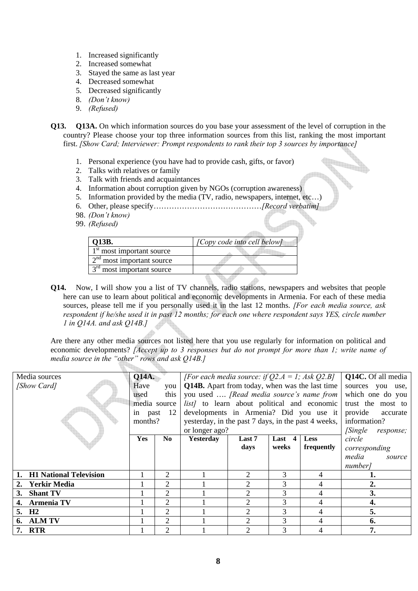- 1. Increased significantly
- 2. Increased somewhat
- 3. Stayed the same as last year
- 4. Decreased somewhat
- 5. Decreased significantly
- 8. *(Don't know)*
- 9. *(Refused)*
- **Q13. Q13A.** On which information sources do you base your assessment of the level of corruption in the country? Please choose your top three information sources from this list, ranking the most important first. *[Show Card; Interviewer: Prompt respondents to rank their top 3 sources by importance]* 
	- 1. Personal experience (you have had to provide cash, gifts, or favor)
	- 2. Talks with relatives or family
	- 3. Talk with friends and acquaintances
	- 4. Information about corruption given by NGOs (corruption awareness)
	- 5. Information provided by the media (TV, radio, newspapers, internet, etc…)
	- 6. Other, please specify……………………………………*[Record verbatim]*
	- 98. *(Don't know)*
	- 99. *(Refused)*

| Q13B.                       | [Copy code into cell below] |
|-----------------------------|-----------------------------|
| $1st$ most important source |                             |
| $2nd$ most important source |                             |
| $3rd$ most important source |                             |
|                             |                             |

**Q14.** Now, I will show you a list of TV channels, radio stations, newspapers and websites that people here can use to learn about political and economic developments in Armenia. For each of these media sources, please tell me if you personally used it in the last 12 months. *[For each media source, ask respondent if he/she used it in past 12 months; for each one where respondent says YES, circle number 1 in Q14A. and ask Q14B.]* 

Are there any other media sources not listed here that you use regularly for information on political and economic developments? *[Accept up to 3 responses but do not prompt for more than 1; write name of media source in the "other" rows and ask Q14B.]* 

| Media sources                       | <b>Q14A.</b> | [For each media source: if $Q2.A = 1$ ; Ask $Q2.B$ ] |                                                     |                                                       |                          | <b>Q14C.</b> Of all media |                            |
|-------------------------------------|--------------|------------------------------------------------------|-----------------------------------------------------|-------------------------------------------------------|--------------------------|---------------------------|----------------------------|
| [Show Card]                         | Have         | you                                                  |                                                     | <b>Q14B.</b> Apart from today, when was the last time |                          |                           |                            |
|                                     | used         | this                                                 | you used  [Read media source's name from            |                                                       |                          |                           | which one do you           |
|                                     |              | media source                                         | <i>list]</i> to learn about political and economic  |                                                       |                          |                           | trust the most to          |
|                                     | past<br>in   | 12                                                   | developments in Armenia? Did you use it             |                                                       |                          |                           | provide<br>accurate        |
|                                     | months?      |                                                      | yesterday, in the past 7 days, in the past 4 weeks, |                                                       |                          |                           | information?               |
|                                     |              |                                                      | or longer ago?                                      |                                                       |                          |                           | <i>Single</i><br>response; |
|                                     | <b>Yes</b>   | No.                                                  | <b>Yesterday</b>                                    | Last 7                                                | $\boldsymbol{4}$<br>Last | <b>Less</b>               | circle                     |
|                                     |              |                                                      |                                                     | days                                                  | weeks                    | frequently                | corresponding              |
|                                     |              |                                                      |                                                     |                                                       |                          |                           | media<br>source            |
|                                     |              |                                                      |                                                     |                                                       |                          |                           | number <sub>l</sub>        |
| <b>H1 National Television</b><br>1. |              | 2                                                    |                                                     | 2                                                     | 3                        | 4                         | ı.                         |
| <b>Yerkir Media</b><br>2.           |              | 2                                                    |                                                     | 2                                                     | 3                        | 4                         | 2.                         |
| <b>Shant TV</b><br>3.               |              | $\overline{2}$                                       |                                                     | $\overline{2}$                                        | 3                        | 4                         | 3.                         |
| <b>Armenia TV</b><br>4.             |              | 2                                                    |                                                     | $\overline{2}$                                        | 3                        | 4                         | 4.                         |
| 5. H <sub>2</sub>                   |              | $\mathfrak{D}$                                       |                                                     | 2                                                     | 3                        | 4                         | 5.                         |
| <b>ALM TV</b><br>6.                 |              | 2                                                    |                                                     | 2                                                     | 3                        | 4                         | 6.                         |
| 7. RTR                              |              | $\overline{2}$                                       |                                                     | $\mathcal{D}$                                         | 3                        |                           | 7.                         |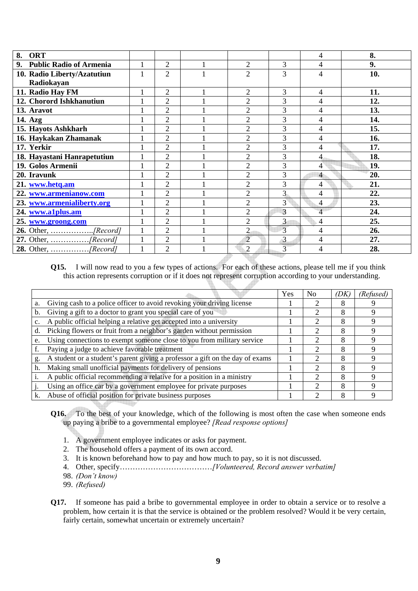| <b>ORT</b><br>8.            |              |                |                |                | 4              | 8.  |
|-----------------------------|--------------|----------------|----------------|----------------|----------------|-----|
| 9. Public Radio of Armenia  |              | 2              | 2              | 3              | 4              | 9.  |
| 10. Radio Liberty/Azatutiun | $\mathbf{1}$ | $\overline{2}$ | $\overline{2}$ | 3              | $\overline{4}$ | 10. |
| Radiokayan                  |              |                |                |                |                |     |
| 11. Radio Hay FM            |              | $\overline{c}$ | $\overline{2}$ | 3              | 4              | 11. |
| 12. Chorord Ishkhanutiun    |              | 2              | $\overline{2}$ | 3              | 4              | 12. |
| 13. Aravot                  |              | 2              | $\overline{2}$ | 3              | 4              | 13. |
| 14. Azg                     |              | $\overline{2}$ | $\overline{2}$ | 3              | $\overline{4}$ | 14. |
| 15. Hayots Ashkharh         |              | $\overline{2}$ | $\overline{2}$ | 3              | 4              | 15. |
| 16. Haykakan Zhamanak       |              | $\overline{2}$ | $\overline{2}$ | 3              | 4              | 16. |
| 17. Yerkir                  |              | $\overline{2}$ | $\overline{2}$ | 3              | 4              | 17. |
| 18. Hayastani Hanrapetutiun |              | $\overline{2}$ | $\overline{2}$ | 3              | $\overline{4}$ | 18. |
| 19. Golos Armenii           |              | 2              | $\overline{2}$ | 3              | 4              | 19. |
| 20. Iravunk                 |              | $\overline{2}$ | $\overline{2}$ | 3              | $\overline{4}$ | 20. |
| 21. www.hetq.am             |              | $\overline{2}$ | $\overline{2}$ | 3              | $\overline{4}$ | 21. |
| 22. www.armenianow.com      |              | 2              | $\overline{2}$ | 3              | 4              | 22. |
| 23. www.armenialiberty.org  |              | $\overline{2}$ | $\overline{2}$ | $\overline{3}$ | 4              | 23. |
| 24. www.a1plus.am           |              | $\overline{2}$ | $\overline{2}$ | 3              | $\overline{4}$ | 24. |
| 25. www.groong.com          |              | $\overline{2}$ | $\overline{2}$ | 3              | 4              | 25. |
|                             |              | 2              | $\overline{2}$ | 3              | 4              | 26. |
|                             | 1            | $\overline{2}$ | $\overline{2}$ | $\mathbf{3}$   | 4              | 27. |
|                             |              | 2              | $\overline{2}$ | 3              | $\overline{4}$ | 28. |
|                             |              |                |                |                |                |     |

**Q15.** I will now read to you a few types of actions. For each of these actions, please tell me if you think this action represents corruption or if it does not represent corruption according to your understanding.

|    |                                                                               | Yes | N <sub>0</sub> | ЮK | (Refused) |
|----|-------------------------------------------------------------------------------|-----|----------------|----|-----------|
| a. | Giving cash to a police officer to avoid revoking your driving license        |     |                |    |           |
| b. | Giving a gift to a doctor to grant you special care of you                    |     |                | 8  |           |
|    | A public official helping a relative get accepted into a university           |     |                | 8  |           |
| d. | Picking flowers or fruit from a neighbor's garden without permission          |     |                | 8  |           |
| e. | Using connections to exempt someone close to you from military service        |     |                | 8  |           |
|    | Paying a judge to achieve favorable treatment                                 |     | ∍              | 8  |           |
| g. | A student or a student's parent giving a professor a gift on the day of exams |     |                | 8  |           |
| h. | Making small unofficial payments for delivery of pensions                     |     |                | 8  |           |
|    | A public official recommending a relative for a position in a ministry        |     |                | 8  |           |
|    | Using an office car by a government employee for private purposes             |     |                | 8  |           |
|    | Abuse of official position for private business purposes                      |     |                | 8  |           |

- **Q16.** To the best of your knowledge, which of the following is most often the case when someone ends up paying a bribe to a governmental employee? *[Read response options]*
	- 1. A government employee indicates or asks for payment.
	- 2. The household offers a payment of its own accord.
	- 3. It is known beforehand how to pay and how much to pay, so it is not discussed.
	- 4. Other, specify………………………………*[Volunteered, Record answer verbatim]*
	- 98. *(Don't know)*
	- 99. *(Refused)*
- **Q17.** If someone has paid a bribe to governmental employee in order to obtain a service or to resolve a problem, how certain it is that the service is obtained or the problem resolved? Would it be very certain, fairly certain, somewhat uncertain or extremely uncertain?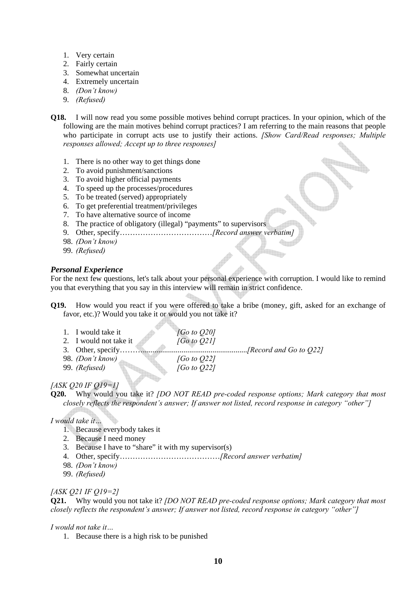- 1. Very certain
- 2. Fairly certain
- 3. Somewhat uncertain
- 4. Extremely uncertain
- 8. *(Don't know)*
- 9. *(Refused)*

**Q18.** I will now read you some possible motives behind corrupt practices. In your opinion, which of the following are the main motives behind corrupt practices? I am referring to the main reasons that people who participate in corrupt acts use to justify their actions. *[Show Card/Read responses; Multiple responses allowed; Accept up to three responses]* 

- 1. There is no other way to get things done
- 2. To avoid punishment/sanctions
- 3. To avoid higher official payments
- 4. To speed up the processes/procedures
- 5. To be treated (served) appropriately
- 6. To get preferential treatment/privileges
- 7. To have alternative source of income
- 8. The practice of obligatory (illegal) "payments" to supervisors

- 45

- 9. Other, specify………………………………*[Record answer verbatim]*
- 98. *(Don't know)*
- 99. *(Refused)*

# *Personal Experience*

For the next few questions, let's talk about your personal experience with corruption. I would like to remind you that everything that you say in this interview will remain in strict confidence.

an a

**Q19.** How would you react if you were offered to take a bribe (money, gift, asked for an exchange of favor, etc.)? Would you take it or would you not take it?

| 1. I would take it<br>2. I would not take it<br>3. Other, specify | [Go to $Q20$ ]<br>[Go to Q21]    | <i>[Record and Go to Q22]</i> |
|-------------------------------------------------------------------|----------------------------------|-------------------------------|
| 98. <i>(Don't know)</i><br>99. (Refused)                          | [Go to $Q22$ ]<br>[Go to $Q22$ ] |                               |

# *[ASK Q20 IF Q19=1]*

**Q20.** Why would you take it? *[DO NOT READ pre-coded response options; Mark category that most closely reflects the respondent's answer; If answer not listed, record response in category "other"]*

# *I would take it…*

- 1. Because everybody takes it
- 2. Because I need money
- 3. Because I have to "share" it with my supervisor(s)
- 4. Other, specify…………………………………*[Record answer verbatim]*
- 98. *(Don't know)*
- 99. *(Refused)*

# *[ASK Q21 IF Q19=2]*

**Q21.** Why would you not take it? *[DO NOT READ pre-coded response options; Mark category that most closely reflects the respondent's answer; If answer not listed, record response in category "other"]* 

#### *I would not take it…*

1. Because there is a high risk to be punished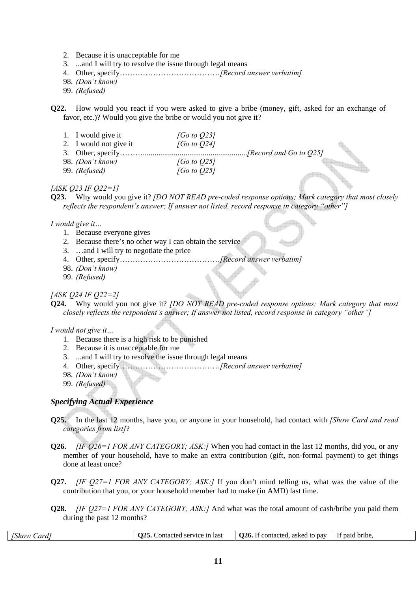- 2. Because it is unacceptable for me
- 3. ...and I will try to resolve the issue through legal means
- 4. Other, specify…………………………………*[Record answer verbatim]*
- 98. *(Don't know)*
- 99. *(Refused)*

**Q22.** How would you react if you were asked to give a bribe (money, gift, asked for an exchange of favor, etc.)? Would you give the bribe or would you not give it?

| 1. I would give it     | [Go to 023]          |  |
|------------------------|----------------------|--|
| 2. I would not give it | [Go to O24]          |  |
|                        |                      |  |
| 98. (Don't know)       | [Go to $Q25$ ]       |  |
| 99. (Refused)          | $[G\sigma\ to\ O25]$ |  |

#### *[ASK Q23 IF Q22=1]*

**Q23.** Why would you give it? *[DO NOT READ pre-coded response options; Mark category that most closely reflects the respondent's answer; If answer not listed, record response in category "other"]*

*I would give it…* 

- 1. Because everyone gives
- 2. Because there's no other way I can obtain the service
- 3. …and I will try to negotiate the price
- 4. Other, specify…………………………………*[Record answer verbatim]*
- 98. *(Don't know)*
- 99. *(Refused)*

#### *[ASK Q24 IF Q22=2]*

**Q24.** Why would you not give it? *[DO NOT READ pre-coded response options; Mark category that most closely reflects the respondent's answer; If answer not listed, record response in category "other"]*

*I would not give it…* 

- 1. Because there is a high risk to be punished
- 2. Because it is unacceptable for me
- 3. ...and I will try to resolve the issue through legal means
- 4. Other, specify…………………………………*[Record answer verbatim]* **ALL**
- 98. *(Don't know)*
- 99. *(Refused)*

#### *Specifying Actual Experience*

- **Q25.** In the last 12 months, have you, or anyone in your household, had contact with *[Show Card and read categories from list]*?
- **Q26.** *[IF Q26=1 FOR ANY CATEGORY; ASK:]* When you had contact in the last 12 months, did you, or any member of your household, have to make an extra contribution (gift, non-formal payment) to get things done at least once?
- **Q27.** *[IF Q27=1 FOR ANY CATEGORY; ASK:]* If you don't mind telling us, what was the value of the contribution that you, or your household member had to make (in AMD) last time.
- **Q28.** *[IF Q27=1 FOR ANY CATEGORY; ASK:]* And what was the total amount of cash/bribe you paid them during the past 12 months?

| $\sqrt{1}$<br>Sard<br>I Shov | $\mathbf{M}$<br>11<br>last<br>วทf.<br>$\sim$ $\sim$ $\sim$<br>vice<br>١c | $-$<br>26<br>pay<br>aske<br>contacteo<br>90 IG | bribe.<br>naic |
|------------------------------|--------------------------------------------------------------------------|------------------------------------------------|----------------|
|                              |                                                                          |                                                |                |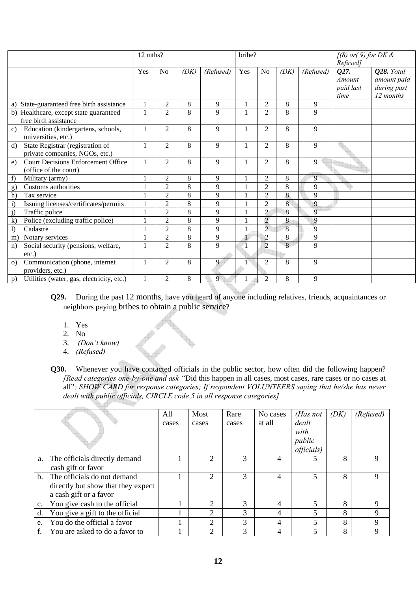|                                                                                    | 12 mths? |                |      |           | bribe?       |                |      |                | $[(8)$ or(9) for DK &<br>Refused]   |                                                       |
|------------------------------------------------------------------------------------|----------|----------------|------|-----------|--------------|----------------|------|----------------|-------------------------------------|-------------------------------------------------------|
|                                                                                    | Yes      | N <sub>0</sub> | (DK) | (Refused) | Yes          | N <sub>o</sub> | (DK) | (Refused)      | Q27.<br>Amount<br>paid last<br>time | Q28. Total<br>amount paid<br>during past<br>12 months |
| State-guaranteed free birth assistance<br>a)                                       |          | 2              | 8    | 9         | $\mathbf{1}$ | $\overline{2}$ | 8    | 9              |                                     |                                                       |
| Healthcare, except state guaranteed<br>b)<br>free birth assistance                 |          | 2              | 8    | 9         | 1            | $\overline{c}$ | 8    | 9              |                                     |                                                       |
| Education (kindergartens, schools,<br>c)<br>universities, etc.)                    |          | $\overline{c}$ | 8    | 9         | 1            | 2              | 8    | 9              |                                     |                                                       |
| State Registrar (registration of<br>$\rm d$<br>private companies, NGOs, etc.)      |          | 2              | 8    | 9         | 1            | $\overline{2}$ | 8    | 9              |                                     |                                                       |
| <b>Court Decisions Enforcement Office</b><br>$\epsilon$ )<br>(office of the court) |          | $\overline{c}$ | 8    | 9         | 1            | $\overline{2}$ | 8    | 9              |                                     |                                                       |
| f)<br>Military (army)                                                              |          | 2              | 8    | 9         |              | 2              | 8    | 9              |                                     |                                                       |
| Customs authorities<br>g)                                                          |          | $\overline{c}$ | 8    | 9         |              | $\overline{2}$ | 8    | 9              |                                     |                                                       |
| h)<br>Tax service                                                                  |          | $\overline{c}$ | 8    | 9         |              | $\overline{2}$ | 8    | 9              |                                     |                                                       |
| $\mathbf{i}$<br>Issuing licenses/certificates/permits                              |          | $\overline{c}$ | 8    | 9         |              | $\overline{2}$ | 8    | 9              |                                     |                                                       |
| j)<br>Traffic police                                                               |          | $\overline{2}$ | 8    | 9         |              | $\overline{2}$ | 8    | $\overline{9}$ |                                     |                                                       |
| $\bf k$<br>Police (excluding traffic police)                                       |          | $\overline{c}$ | 8    | 9         |              | $\overline{2}$ | 8    | 9              |                                     |                                                       |
| $\mathbf{I}$<br>Cadastre                                                           |          | $\overline{c}$ | 8    | 9         |              | $\overline{c}$ | 8    | $\overline{9}$ |                                     |                                                       |
| Notary services<br>m)                                                              |          | $\overline{c}$ | 8    | 9         | 1            | $\overline{2}$ | 8    | 9              |                                     |                                                       |
| Social security (pensions, welfare,<br>n)<br>$etc.$ )                              |          | $\overline{c}$ | 8    | 9         |              | $\overline{2}$ | 8    | 9              |                                     |                                                       |
| Communication (phone, internet<br>$\Omega$<br>providers, etc.)                     |          | $\overline{c}$ | 8    | 9         |              | $\overline{2}$ | 8    | 9              |                                     |                                                       |
| Utilities (water, gas, electricity, etc.)<br>p)                                    |          | 2              | 8    | 9         |              | 2              | 8    | 9              |                                     |                                                       |

- **Q29.** During the past 12 months, have you heard of anyone including relatives, friends, acquaintances or neighbors paying bribes to obtain a public service?
	- 1. Yes
	- 2. No
	- 3. *(Don't know)*
	- 4. *(Refused)*

**Q30.** Whenever you have contacted officials in the public sector, how often did the following happen? *[Read categories one-by-one and ask "*Did this happen in all cases, most cases, rare cases or no cases at all"*; SHOW CARD for response categories; If respondent VOLUNTEERS saying that he/she has never dealt with public officials, CIRCLE code 5 in all response categories]* 

|    |                                    | All   | Most           | Rare  | No cases | (Has not           | (DK) | (Refused) |
|----|------------------------------------|-------|----------------|-------|----------|--------------------|------|-----------|
|    |                                    | cases | cases          | cases | at all   | dealt              |      |           |
|    |                                    |       |                |       |          | with               |      |           |
|    |                                    |       |                |       |          | public             |      |           |
|    |                                    |       |                |       |          | <i>officials</i> ) |      |           |
|    | a. The officials directly demand   |       | $\overline{c}$ | 3     | 4        |                    | 8    | Q         |
|    | cash gift or favor                 |       |                |       |          |                    |      |           |
|    | b. The officials do not demand     |       | $\overline{c}$ | 3     | 4        |                    | 8    | 9         |
|    | directly but show that they expect |       |                |       |          |                    |      |           |
|    | a cash gift or a favor             |       |                |       |          |                    |      |           |
| c. | You give cash to the official      |       | ↑              | 3     | 4        |                    | 8    | 9         |
| d. | You give a gift to the official    |       | $\overline{c}$ | 3     | 4        |                    | 8    | 9         |
| e. | You do the official a favor        |       | ↑              | 3     | 4        |                    | 8    | 9         |
|    | You are asked to do a favor to     |       | ↑              | 3     | 4        |                    | 8    | 9         |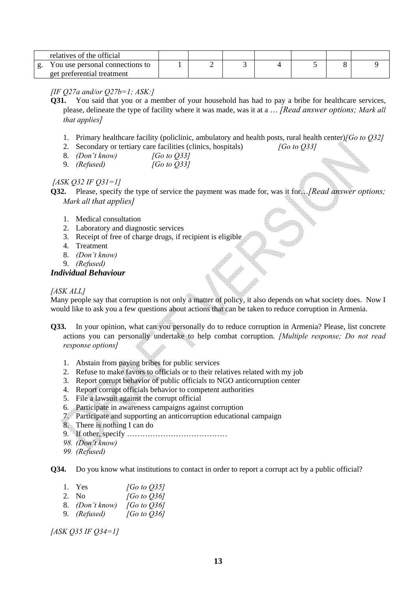| relatives of the official                                     |  |  |  |  |
|---------------------------------------------------------------|--|--|--|--|
| You use personal connections to<br>get preferential treatment |  |  |  |  |

# *[IF Q27a and/or Q27b=1; ASK:]*

- **Q31.** You said that you or a member of your household has had to pay a bribe for healthcare services, please, delineate the type of facility where it was made, was it at a … *[Read answer options; Mark all that applies]*
	- 1. Primary healthcare facility (policlinic, ambulatory and health posts, rural health center)*[Go to Q32]*
	- 2. Secondary or tertiary care facilities (clinics, hospitals) *[Go to Q33]*
	- 8. *(Don't know) [Go to Q33]*
	- 9. *(Refused) [Go to Q33]*

# *[ASK Q32 IF Q31=1]*

- **Q32.** Please, specify the type of service the payment was made for, was it for…*[Read answer options; Mark all that applies]*
	- 1. Medical consultation
	- 2. Laboratory and diagnostic services
	- 3. Receipt of free of charge drugs, if recipient is eligible
	- 4. Treatment
	- 8. *(Don't know)*
	- 9. *(Refused)*

# *Individual Behaviour*

# *[ASK ALL]*

Many people say that corruption is not only a matter of policy, it also depends on what society does. Now I would like to ask you a few questions about actions that can be taken to reduce corruption in Armenia.

- **Q33.** In your opinion, what can you personally do to reduce corruption in Armenia? Please, list concrete actions you can personally undertake to help combat corruption. *[Multiple response; Do not read response options]*
	- 1. Abstain from paying bribes for public services
	- 2. Refuse to make favors to officials or to their relatives related with my job
	- 3. Report corrupt behavior of public officials to NGO anticorruption center
	- 4. Report corrupt officials behavior to competent authorities
	- 5. File a lawsuit against the corrupt official
	- 6. Participate in awareness campaigns against corruption
	- 7. Participate and supporting an anticorruption educational campaign
	- 8. There is nothing I can do
	- 9. If other, specify …………………………………
	- *98. (Don't know)*
	- *99. (Refused)*

**Q34.** Do you know what institutions to contact in order to report a corrupt act by a public official?

| 1. Yes              | [Go to $O(35)$ ] |
|---------------------|------------------|
| 2. No.              | [Go to $Q36$ ]   |
| 8. (Don't know)     | [Go to $Q36$ ]   |
| 9. <i>(Refused)</i> | [Go to $Q36$ ]   |

*[ASK Q35 IF Q34=1]*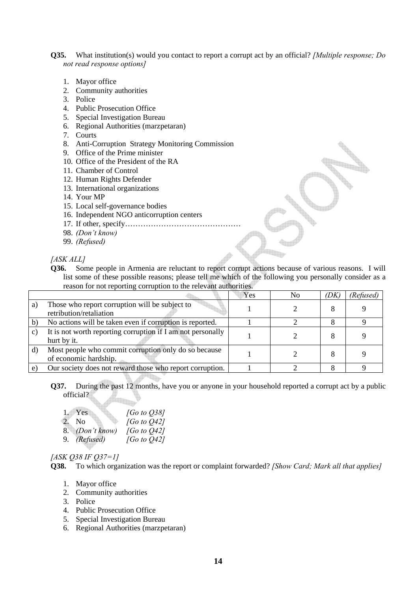**Q35.** What institution(s) would you contact to report a corrupt act by an official? *[Multiple response; Do not read response options]* 

- 1. Mayor office
- 2. Community authorities
- 3. Police
- 4. Public Prosecution Office
- 5. Special Investigation Bureau
- 6. Regional Authorities (marzpetaran)
- 7. Courts
- 8. Anti-Corruption Strategy Monitoring Commission
- 9. Office of the Prime minister
- 10. Office of the President of the RA
- 11. Chamber of Control
- 12. Human Rights Defender
- 13. International organizations
- 14. Your MP
- 15. Local self-governance bodies
- 16. Independent NGO anticorruption centers
- 17. If other, specify………………………………………
- 98. *(Don't know)*
- 99. *(Refused)*

*[ASK ALL]*

**Q36.** Some people in Armenia are reluctant to report corrupt actions because of various reasons. I will list some of these possible reasons; please tell me which of the following you personally consider as a reason for not reporting corruption to the relevant authorities.

|    |                                                                               | Yes | No | (DK) | (Refused) |
|----|-------------------------------------------------------------------------------|-----|----|------|-----------|
| a) | Those who report corruption will be subject to<br>retribution/retaliation     |     |    |      |           |
|    | No actions will be taken even if corruption is reported.                      |     |    |      |           |
| C) | It is not worth reporting corruption if I am not personally<br>hurt by it.    |     |    |      |           |
|    | Most people who commit corruption only do so because<br>of economic hardship. |     |    |      |           |
|    | Our society does not reward those who report corruption.                      |     |    |      |           |

#### **Q37.** During the past 12 months, have you or anyone in your household reported a corrupt act by a public official?

| 1. Yes          | [Go to $O$ 38] |
|-----------------|----------------|
| 2. No           | [Go to 042]    |
| 8. (Don't know) | [Go to $Q$ 42] |
| 9. (Refused)    | [Go to $Q42$ ] |

#### *[ASK Q38 IF Q37=1]*

**Q38.** To which organization was the report or complaint forwarded? *[Show Card; Mark all that applies]*

- 1. Mayor office
- 2. Community authorities
- 3. Police
- 4. Public Prosecution Office
- 5. Special Investigation Bureau
- 6. Regional Authorities (marzpetaran)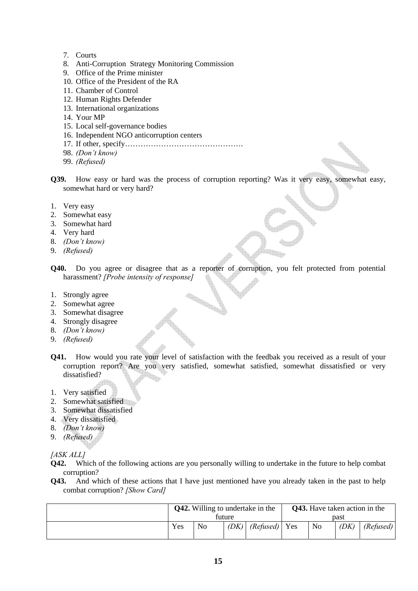- 7. Courts
- 8. Anti-Corruption Strategy Monitoring Commission
- 9. Office of the Prime minister
- 10. Office of the President of the RA
- 11. Chamber of Control
- 12. Human Rights Defender
- 13. International organizations
- 14. Your MP
- 15. Local self-governance bodies
- 16. Independent NGO anticorruption centers
- 17. If other, specify……………………………………….
- 98. *(Don't know)*
- 99. *(Refused)*
- **Q39.** How easy or hard was the process of corruption reporting? Was it very easy, somewhat easy, somewhat hard or very hard?
- 1. Very easy
- 2. Somewhat easy
- 3. Somewhat hard
- 4. Very hard
- 8. *(Don't know)*
- 9. *(Refused)*
- **Q40.** Do you agree or disagree that as a reporter of corruption, you felt protected from potential harassment? *[Probe intensity of response]*

**STARTER** 

- 1. Strongly agree
- 2. Somewhat agree
- 3. Somewhat disagree
- 4. Strongly disagree
- 8. *(Don't know)*
- 9. *(Refused)*
- **Q41.** How would you rate your level of satisfaction with the feedbak you received as a result of your corruption report? Are you very satisfied, somewhat satisfied, somewhat dissatisfied or very dissatisfied?
- 1. Very satisfied
- 2. Somewhat satisfied
- 3. Somewhat dissatisfied
- 4. Very dissatisfied
- 8. *(Don't know)*
- 9. *(Refused)*

*[ASK ALL]*

- **Q42.** Which of the following actions are you personally willing to undertake in the future to help combat corruption?
- **Q43.** And which of these actions that I have just mentioned have you already taken in the past to help combat corruption? *[Show Card]*

| <b>Q42.</b> Willing to undertake in the |                |      |                 | <b>Q43.</b> Have taken action in the |                |      |           |
|-----------------------------------------|----------------|------|-----------------|--------------------------------------|----------------|------|-----------|
| future                                  |                |      |                 | past                                 |                |      |           |
| Yes                                     | N <sub>o</sub> | (DK) | $(Refused)$ Yes |                                      | N <sub>o</sub> | (DK) | (Refused) |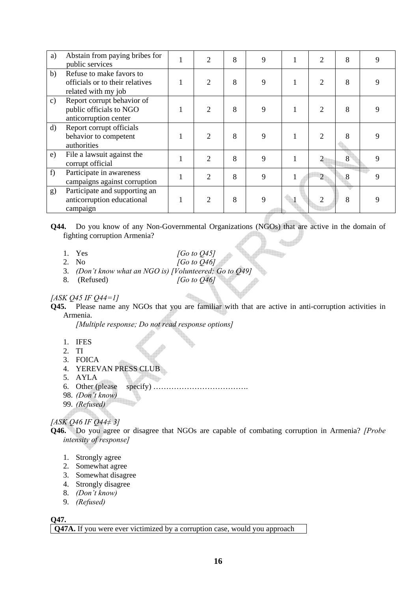| a)            | Abstain from paying bribes for<br>public services                                  | 2              | 8 | 9 | $\overline{2}$ | 8 | 9 |
|---------------|------------------------------------------------------------------------------------|----------------|---|---|----------------|---|---|
| b)            | Refuse to make favors to<br>officials or to their relatives<br>related with my job | $\overline{2}$ | 8 | 9 | $\overline{2}$ | 8 | 9 |
| $\mathbf{c})$ | Report corrupt behavior of<br>public officials to NGO<br>anticorruption center     | $\overline{2}$ | 8 | 9 | $\overline{2}$ | 8 | 9 |
| $\rm d)$      | Report corrupt officials<br>behavior to competent<br>authorities                   | $\overline{2}$ | 8 | 9 | $\overline{2}$ | 8 | 9 |
| e)            | File a lawsuit against the<br>corrupt official                                     | $\overline{2}$ | 8 | 9 | $\overline{2}$ | 8 | 9 |
| f             | Participate in awareness<br>campaigns against corruption                           | $\overline{2}$ | 8 | 9 | $\overline{2}$ | 8 | 9 |
| g)            | Participate and supporting an<br>anticorruption educational<br>campaign            | $\overline{2}$ | 8 | 9 | $\overline{c}$ | 8 | 9 |

**Q44.** Do you know of any Non-Governmental Organizations (NGOs) that are active in the domain of fighting corruption Armenia?

la p

- 1. Yes *[Go to Q45]*
- 2. No *[Go to Q46]*
- 3. *(Don't know what an NGO is) [Volunteered; Go to Q49]*
- 8. (Refused) *[Go to Q46]*

#### *[ASK Q45 IF Q44=1]*

**Q45.** Please name any NGOs that you are familiar with that are active in anti-corruption activities in Armenia.

 $\begin{smallmatrix} \begin{smallmatrix} 0\\ 1\end{smallmatrix} \end{smallmatrix}$ 

*[Multiple response; Do not read response options]* 

- 1. IFES
- 2. TI
- 3. FOICA
- 4. YEREVAN PRESS CLUB
- 5. AYLA
- 6. Other (please specify) ……………………………….
- 98. *(Don't know)*
- 99. *(Refused)*

# *[ASK Q46 IF Q44≠ 3]*

**Q46.** Do you agree or disagree that NGOs are capable of combating corruption in Armenia? *[Probe intensity of response]*

- 1. Strongly agree
- 2. Somewhat agree
- 3. Somewhat disagree
- 4. Strongly disagree
- 8. *(Don't know)*
- 9. *(Refused)*

**Q47.**

**Q47A.** If you were ever victimized by a corruption case, would you approach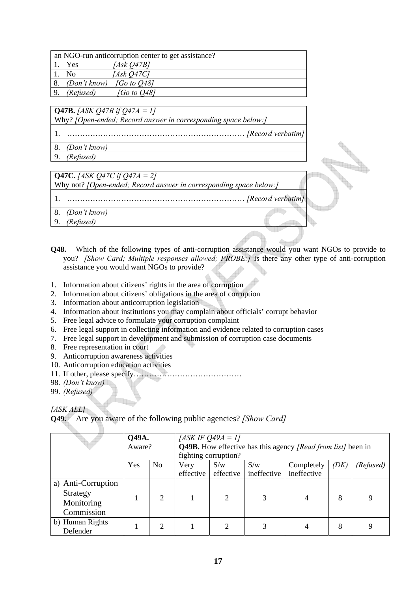|     |                                        | an NGO-run anticorruption center to get assistance? |  |
|-----|----------------------------------------|-----------------------------------------------------|--|
|     | Yes                                    | [Ask Q47B]                                          |  |
|     | No                                     | [Ask O47C]                                          |  |
| -8. | (Don't know)                           | [Go to Q48]                                         |  |
|     | (Refused)                              | <i>FGo to 0481</i>                                  |  |
|     |                                        |                                                     |  |
|     | $\sqrt{Q47B}$ . [ASK Q47B if Q47A = 1] |                                                     |  |

Why? *[Open-ended; Record answer in corresponding space below:]*

1. …………………………………………………………… *[Record verbatim]*

- 8. *(Don't know)*
- 9. *(Refused)*

| <b>Q47C.</b> [ASK Q47C if Q47A = 2]                                |  |
|--------------------------------------------------------------------|--|
| Why not? [Open-ended; Record answer in corresponding space below:] |  |
|                                                                    |  |
| (Don't know)                                                       |  |
| (Refused)                                                          |  |
|                                                                    |  |

- **Q48.** Which of the following types of anti-corruption assistance would you want NGOs to provide to you? *[Show Card; Multiple responses allowed; PROBE:]* Is there any other type of anti-corruption assistance you would want NGOs to provide?
- 1. Information about citizens' rights in the area of corruption
- 2. Information about citizens' obligations in the area of corruption
- 3. Information about anticorruption legislation
- 4. Information about institutions you may complain about officials' corrupt behavior
- 5. Free legal advice to formulate your corruption complaint
- 6. Free legal support in collecting information and evidence related to corruption cases
- 7. Free legal support in development and submission of corruption case documents
- 8. Free representation in court
- 9. Anticorruption awareness activities
- 10. Anticorruption education activities
- 11. If other, please specify……………………………………
- 98. *(Don't know)*
- 99. *(Refused)*

*[ASK ALL]* 

**Q49.** Are you aware of the following public agencies? *[Show Card]*

|                    | Q49A.  |                | [ASK IF $Q$ 49A = 1]                                                |                             |             |                |      |           |  |  |
|--------------------|--------|----------------|---------------------------------------------------------------------|-----------------------------|-------------|----------------|------|-----------|--|--|
|                    | Aware? |                | <b>Q49B.</b> How effective has this agency [Read from list] been in |                             |             |                |      |           |  |  |
|                    |        |                |                                                                     | fighting corruption?        |             |                |      |           |  |  |
|                    | Yes    | N <sub>o</sub> | Very                                                                | S/w                         | S/w         | Completely     | (DK) | (Refused) |  |  |
|                    |        |                | effective                                                           | effective                   | ineffective | ineffective    |      |           |  |  |
| a) Anti-Corruption |        |                |                                                                     |                             |             |                |      |           |  |  |
| Strategy           |        | 2              |                                                                     | $\mathcal{D}_{\mathcal{L}}$ |             |                |      | 9         |  |  |
| Monitoring         |        |                |                                                                     |                             |             | $\overline{4}$ | 8    |           |  |  |
| Commission         |        |                |                                                                     |                             |             |                |      |           |  |  |
| b) Human Rights    |        | 2              |                                                                     |                             |             |                | 8    | 9         |  |  |
| Defender           |        |                |                                                                     |                             |             |                |      |           |  |  |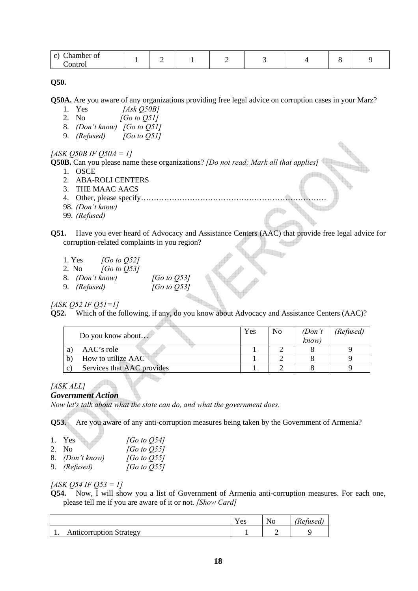| <b>A</b><br>hamber of<br>$\cap$ |   |   |  |  |
|---------------------------------|---|---|--|--|
| `ontrol<br>.                    | - | - |  |  |

**Q50.**

**Q50A.** Are you aware of any organizations providing free legal advice on corruption cases in your Marz?

- 1. Yes *[Ask Q50B]*
- 2. No *[Go to Q51]*
- 8. *(Don't know) [Go to Q51]*
- 9. *(Refused) [Go to Q51]*

# *[ASK Q50B IF Q50A = 1]*

**Q50B.** Can you please name these organizations? *[Do not read; Mark all that applies]* 

- 1. OSCE
- 2. ABA-ROLI CENTERS
- 3. THE MAAC AACS
- 4. Other, please specify………………………………………………………………
- 98. *(Don't know)*
- 99. *(Refused)*
- **Q51.** Have you ever heard of Advocacy and Assistance Centers (AAC) that provide free legal advice for corruption-related complaints in you region?
	- 1. Yes *[Go to Q52]*
	- 2. No *[Go to Q53]*
	- 8. *(Don't know) [Go to Q53]*
	- 9. *(Refused) [Go to Q53]*

*[ASK Q52 IF Q51=1]*

**Q52.** Which of the following, if any, do you know about Advocacy and Assistance Centers (AAC)?

|    | Do you know about          | Yes | N <sub>0</sub> | (Don't<br>know) | (Refused) |
|----|----------------------------|-----|----------------|-----------------|-----------|
|    | $\rm AAC$ 's role          |     |                |                 |           |
|    | How to utilize AAC         |     |                |                 |           |
| C) | Services that AAC provides |     |                |                 |           |

#### *[ASK ALL]*

#### *Government Action*

*Now let's talk about what the state can do, and what the government does.* 

**AR** 

**Q53.** Are you aware of any anti-corruption measures being taken by the Government of Armenia?

| 1. Yes          | [Go to $Q54$ ]           |
|-----------------|--------------------------|
| 2. No           | [Go to $Q$ 55]           |
| 8. (Don't know) | [Go to $\varnothing$ 55] |
| 9. (Refused)    | [Go to $Q$ 55]           |

*[ASK Q54 IF Q53 = 1]* 

**Q54.** Now, I will show you a list of Government of Armenia anti-corruption measures. For each one, please tell me if you are aware of it or not. *[Show Card]*

|                                    | . .<br>es | $\sqrt{ }$ |
|------------------------------------|-----------|------------|
| Anticorruption Strategy<br>А<br>J. |           |            |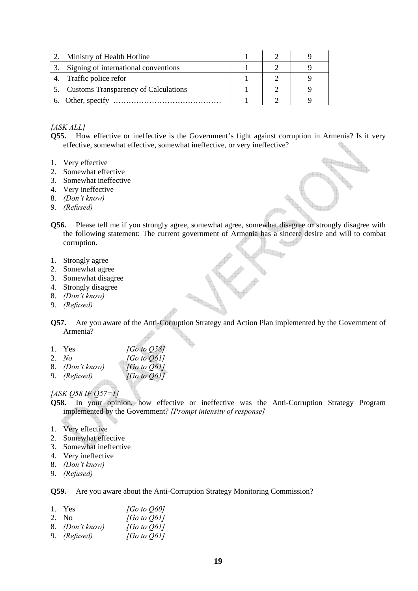| Ministry of Health Hotline              |  |  |
|-----------------------------------------|--|--|
| Signing of international conventions    |  |  |
| Traffic police refor                    |  |  |
| 5. Customs Transparency of Calculations |  |  |
| 6. Other, specify                       |  |  |

# *[ASK ALL]*

**Q55.** How effective or ineffective is the Government's fight against corruption in Armenia? Is it very effective, somewhat effective, somewhat ineffective, or very ineffective?

- 1. Very effective
- 2. Somewhat effective
- 3. Somewhat ineffective
- 4. Very ineffective
- 8. *(Don't know)*
- 9. *(Refused)*
- **Q56.** Please tell me if you strongly agree, somewhat agree, somewhat disagree or strongly disagree with the following statement: The current government of Armenia has a sincere desire and will to combat corruption.

h,

- 1. Strongly agree
- 2. Somewhat agree
- 3. Somewhat disagree
- 4. Strongly disagree
- 8. *(Don't know)*
- 9. *(Refused)*
- **Q57.** Are you aware of the Anti-Corruption Strategy and Action Plan implemented by the Government of Armenia?
- 1. Yes *[Go to Q58]*<br>2. No *[Go to Q61]*
- 2. *No [Go to Q61]*
- 8. *(Don't know) [Go to Q61]*
- 9. *(Refused) [Go to Q61]*

#### *[ASK Q58 IF Q57=1]*

- **Q58.** In your opinion, how effective or ineffective was the Anti-Corruption Strategy Program implemented by the Government? *[Prompt intensity of response]*
- 1. Very effective
- 2. Somewhat effective
- 3. Somewhat ineffective
- 4. Very ineffective
- 8. *(Don't know)*
- 9. *(Refused)*

**Q59.** Are you aware about the Anti-Corruption Strategy Monitoring Commission?

| 1. Yes              | [Go to $Q60$ ] |
|---------------------|----------------|
| 2. No               | [Go to $Q61$ ] |
| 8. (Don't know)     | [Go to $Q61$ ] |
| 9. <i>(Refused)</i> | [Go to $Q61$ ] |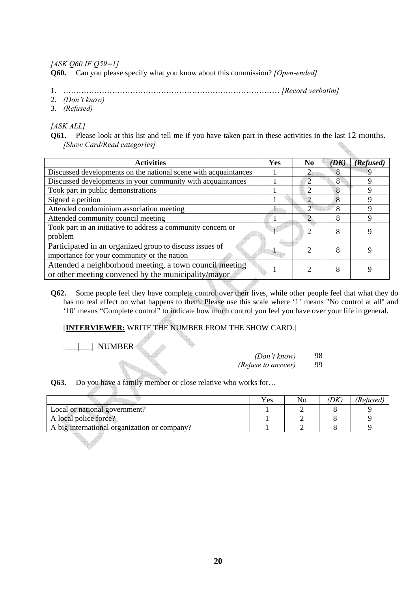*[ASK Q60 IF Q59=1]*

**Q60.** Can you please specify what you know about this commission? *[Open-ended]*

- 1. ………………………………………………………………………… *[Record verbatim]*
- 2. *(Don't know)*
- 3. *(Refused)*

*[ASK ALL]* 

**Q61.** Please look at this list and tell me if you have taken part in these activities in the last 12 months. *[Show Card/Read categories]*

| <b>Activities</b>                                                                                              | Yes | N <sub>0</sub>              | (DK) | (Refused)   |
|----------------------------------------------------------------------------------------------------------------|-----|-----------------------------|------|-------------|
| Discussed developments on the national scene with acquaintances                                                |     |                             | 8    |             |
| Discussed developments in your community with acquaintances                                                    |     | $\mathcal{D}_{\mathcal{A}}$ | 8    |             |
| Took part in public demonstrations                                                                             |     | 2                           | 8    |             |
| Signed a petition                                                                                              |     | ာ                           | 8    | Q           |
| Attended condominium association meeting                                                                       |     | 2                           | 8    | 9           |
| Attended community council meeting                                                                             |     |                             | 8    | $\mathbf Q$ |
| Took part in an initiative to address a community concern or<br>problem                                        |     | 2                           | 8    | Q           |
| Participated in an organized group to discuss issues of<br>importance for your community or the nation         |     |                             | 8    | Q           |
| Attended a neighborhood meeting, a town council meeting<br>or other meeting convened by the municipality/mayor |     | 2                           | 8    |             |

**Q62.** Some people feel they have complete control over their lives, while other people feel that what they do has no real effect on what happens to them. Please use this scale where '1' means "No control at all" and '10' means "Complete control" to indicate how much control you feel you have over your life in general.

# [**INTERVIEWER:** WRITE THE NUMBER FROM THE SHOW CARD.]

| | NUMBER

H.

| (Don't know)       | 98. |
|--------------------|-----|
| (Refuse to answer) | 99  |

**Q63.** Do you have a family member or close relative who works for…

r,

|                                              | Yes | No | DΚ | (Refused) |
|----------------------------------------------|-----|----|----|-----------|
| Local or national government?                |     |    |    |           |
| A local police force?                        |     |    |    |           |
| A big international organization or company? |     |    |    |           |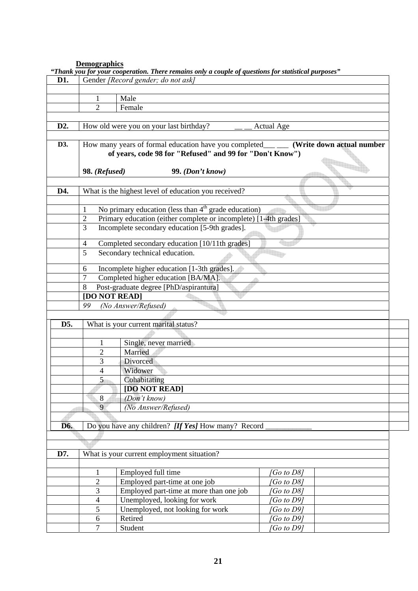# **Demographics**

|                  |                     | "Thank you for your cooperation. There remains only a couple of questions for statistical purposes" |                           |
|------------------|---------------------|-----------------------------------------------------------------------------------------------------|---------------------------|
| D1.              |                     | Gender [Record gender; do not ask]                                                                  |                           |
|                  |                     |                                                                                                     |                           |
|                  | 1                   | Male                                                                                                |                           |
|                  | 2                   | Female                                                                                              |                           |
|                  |                     |                                                                                                     |                           |
| D <sub>2</sub> . |                     | How old were you on your last birthday?                                                             | <b>Actual Age</b>         |
|                  |                     |                                                                                                     |                           |
| D3.              |                     | How many years of formal education have you completed_                                              | (Write down actual number |
|                  |                     | of years, code 98 for "Refused" and 99 for "Don't Know")                                            |                           |
|                  |                     |                                                                                                     |                           |
|                  | 98. (Refused)       | 99. (Don't know)                                                                                    |                           |
|                  |                     |                                                                                                     |                           |
| D4.              |                     | What is the highest level of education you received?                                                |                           |
|                  |                     |                                                                                                     |                           |
|                  | 1                   | No primary education (less than $4th$ grade education)                                              |                           |
|                  | $\overline{2}$      | Primary education (either complete or incomplete) [1-4th grades]                                    |                           |
|                  | 3                   | Incomplete secondary education [5-9th grades].                                                      |                           |
|                  |                     |                                                                                                     |                           |
|                  | $\overline{4}$<br>5 | Completed secondary education [10/11th grades]<br>Secondary technical education.                    |                           |
|                  |                     |                                                                                                     |                           |
|                  | 6                   | Incomplete higher education [1-3th grades].                                                         |                           |
|                  | $\overline{7}$      | Completed higher education [BA/MA].                                                                 |                           |
|                  | 8                   | Post-graduate degree [PhD/aspirantura]                                                              |                           |
|                  | [DO NOT READ]       |                                                                                                     |                           |
|                  | 99                  | (No Answer/Refused)                                                                                 |                           |
|                  |                     |                                                                                                     |                           |
| D5.              |                     | What is your current marital status?                                                                |                           |
|                  |                     |                                                                                                     |                           |
|                  | 1                   | Single, never married                                                                               |                           |
|                  | $\overline{2}$      | Married                                                                                             |                           |
|                  | 3                   | Divorced                                                                                            |                           |
|                  | 4                   | Widower                                                                                             |                           |
|                  | 5                   | Cohabitating                                                                                        |                           |
|                  |                     | [DO NOT READ]                                                                                       |                           |
|                  | 8                   | (Don't know)                                                                                        |                           |
|                  | 9                   | (No Answer/Refused)                                                                                 |                           |
|                  |                     |                                                                                                     |                           |
| D6.              |                     | Do you have any children? [If Yes] How many? Record                                                 |                           |
|                  |                     |                                                                                                     |                           |
|                  |                     |                                                                                                     |                           |
| D7.              |                     | What is your current employment situation?                                                          |                           |
|                  |                     |                                                                                                     |                           |
|                  | $\mathbf{1}$        | Employed full time                                                                                  | [Go to D8]                |
|                  | $\overline{c}$      | Employed part-time at one job                                                                       | Go to D8]                 |
|                  | 3                   | Employed part-time at more than one job                                                             | Go to D8]                 |
|                  | 4                   | Unemployed, looking for work                                                                        | [Go to D9]                |
|                  | 5                   | Unemployed, not looking for work                                                                    | Go to D9]                 |
|                  | 6                   | Retired                                                                                             | [Go to D9]                |
|                  | $\overline{7}$      | Student                                                                                             | Go to D9]                 |
|                  |                     |                                                                                                     |                           |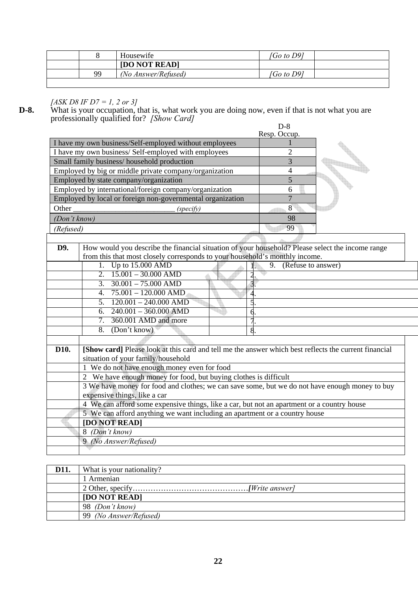|           | Housewife           | <i><b>Go to D91</b></i> |  |
|-----------|---------------------|-------------------------|--|
|           | [DO NOT READ]       |                         |  |
| <b>99</b> | (No Answer/Refused) | <i>「Go to D9]</i>       |  |

# *[ASK D8 IF D7 = 1, 2 or 3]*

**D-8.** What is your occupation, that is, what work you are doing now, even if that is not what you are professionally qualified for? *[Show Card]* 

|              |                                                                                                       | $D-8$                    |
|--------------|-------------------------------------------------------------------------------------------------------|--------------------------|
|              |                                                                                                       | Resp. Occup.             |
|              | I have my own business/Self-employed without employees                                                |                          |
|              | I have my own business/Self-employed with employees                                                   | $\overline{2}$           |
|              | Small family business/ household production                                                           | 3                        |
|              | Employed by big or middle private company/organization                                                | 4                        |
|              | Employed by state company/organization                                                                | 5                        |
|              | Employed by international/foreign company/organization                                                | 6                        |
|              | Employed by local or foreign non-governmental organization                                            | $\overline{7}$           |
| Other        | (specify)                                                                                             | 8                        |
| (Don't know) |                                                                                                       | 98                       |
| (Refused)    |                                                                                                       | 99                       |
|              |                                                                                                       |                          |
| D9.          | How would you describe the financial situation of your household? Please select the income range      |                          |
|              | from this that most closely corresponds to your household's monthly income.                           |                          |
|              | 1. Up to 15.000 AMD                                                                                   | (Refuse to answer)<br>9. |
|              | $15.001 - 30.000$ AMD<br>$\overline{2}$ .                                                             |                          |
|              | 3. $30.001 - 75.000$ AMD                                                                              |                          |
|              | $75.001 - 120.000$ AMD<br>4.                                                                          |                          |
|              | $120.001 - 240.000$ AMD<br>5.                                                                         |                          |
|              | $240.001 - 360.000$ AMD<br>6.                                                                         |                          |
|              | 360.001 AMD and more<br>$\overline{7}$ .                                                              |                          |
|              | (Don't know)<br>8.                                                                                    |                          |
|              |                                                                                                       |                          |
| D10.         | [Show card] Please look at this card and tell me the answer which best reflects the current financial |                          |
|              | situation of your family/household                                                                    |                          |
|              | 1 We do not have enough money even for food                                                           |                          |
|              | 2 We have enough money for food, but buying clothes is difficult                                      |                          |
|              | 3 We have money for food and clothes; we can save some, but we do not have enough money to buy        |                          |
|              | expensive things, like a car                                                                          |                          |
|              | 4 We can afford some expensive things, like a car, but not an apartment or a country house            |                          |
|              | 5 We can afford anything we want including an apartment or a country house                            |                          |
|              | [DO NOT READ]                                                                                         |                          |
|              | 8 (Don't know)                                                                                        |                          |
|              | 9 (No Answer/Refused)                                                                                 |                          |
|              |                                                                                                       |                          |

| D11. | What is your nationality? |
|------|---------------------------|
|      | 1 Armenian                |
|      |                           |
|      | [DO NOT READ]             |
|      | 98 <i>(Don't know)</i>    |
|      | 99 (No Answer/Refused)    |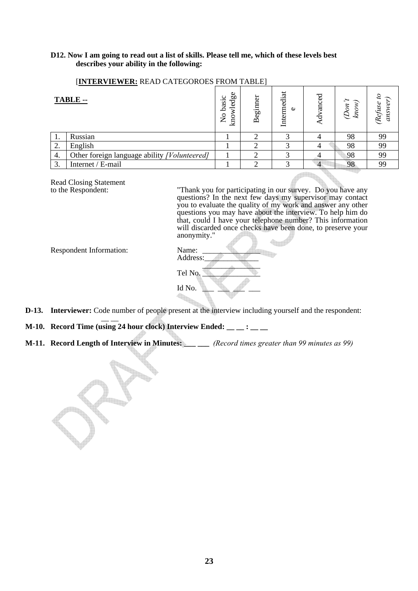# **D12. Now I am going to read out a list of skills. Please tell me, which of these levels best describes your ability in the following:**

| INTERVIEWER: READ CATEGOROES FROM TABLE |                                              |                                    |                              |                       |  |                     |        |
|-----------------------------------------|----------------------------------------------|------------------------------------|------------------------------|-----------------------|--|---------------------|--------|
| TABLE --                                |                                              | 9g<br>ပ<br>basi<br>glv<br>kmo<br>Z | $e$ gin<br>$\mathbf{\Omega}$ | ಸ<br>medi<br>$\omega$ |  | $\tilde{\nu}$<br>kn | Refuse |
|                                         | Russian                                      |                                    |                              |                       |  | 98                  | 99     |
| 2.                                      | English                                      |                                    |                              |                       |  | 98                  | 99     |
| 4.                                      | Other foreign language ability [Volunteered] |                                    |                              |                       |  | 98                  | 99     |

3. Internet / E-mail 1 2 3 4 98 99

#### [**INTERVIEWER:** READ CATEGOROES FROM TABLE]

Read Closing Statement<br>to the Respondent:

to the Respondent: "Thank you for participating in our survey. Do you have any questions? In the next few days my supervisor may contact you to evaluate the quality of my work and answer any other questions you may have about the interview. To help him do that, could I have your telephone number? This information will discarded once checks have been done, to preserve your anonymity."  $\leftarrow$ 

*(Refuse to answer)* 

Respondent Information:

| Name:<br>Address: |  |
|-------------------|--|
| Tel No.           |  |
| Id No.            |  |

- **D-13. Interviewer:** Code number of people present at the interview including yourself and the respondent:
- **M-10. Record Time (using 24 hour clock) Interview Ended: \_\_ \_ : \_ \_ \_**
- **M-11. Record Length of Interview in Minutes:** *\_\_\_ (Record times greater than 99 minutes as 99)*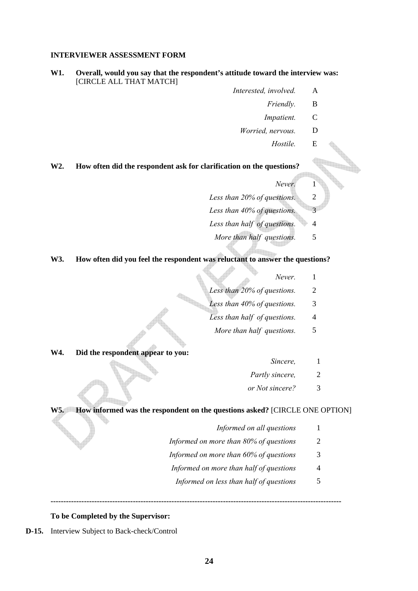#### **INTERVIEWER ASSESSMENT FORM**

#### **W1. Overall, would you say that the respondent's attitude toward the interview was:** [CIRCLE ALL THAT MATCH]

- *Interested, involved.* A
	- *Friendly.* B
		- *Impatient.* C
	- *Worried, nervous.* D
		- *Hostile.* E

# **W2. How often did the respondent ask for clarification on the questions?**

- *Never.* 1
- *Less than 20% of questions.* 2
- *Less than 40% of questions.* 3
- Less than half of questions. 4
	- *More than half questions.* 5

# **W3. How often did you feel the respondent was reluctant to answer the questions?**

- *Never.* 1
- *Less than 20% of questions.* 2
- *Less than 40% of questions.* 3
- *Less than half of questions.* 4
- *More than half questions.* 5

#### **W4. Did the respondent appear to you:**

- *Sincere*, 1
- *Partly sincere,* 2
- *or Not sincere?* 3

# **W5. How informed was the respondent on the questions asked?** [CIRCLE ONE OPTION]

**-----------------------------------------------------------------------------------------------------------------** 

- *Informed on all questions* 1
- *Informed on more than 80% of questions* 2
- *Informed on more than 60% of questions* 3
- *Informed on more than half of questions* 4
	- *Informed on less than half of questions* 5

#### **To be Completed by the Supervisor:**

**D-15.** Interview Subject to Back-check/Control